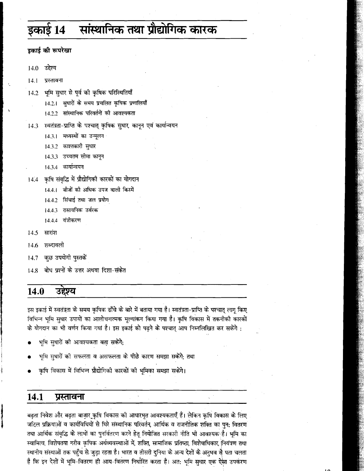## सांस्थानिक तथा प्रौद्योगिक कारक इकार्ड 14

डकाई की रूपरेखा

 $14.0$ उद्देश्य

 $14.1$ प्रस्तावना

भूमि सुधार से पूर्व की कृषिक परिस्थितियाँ  $14.2$ 

14.2.1 सुधारों के समय प्रचलित कृषिक प्रणालियाँ

- 14.2.2 सांस्थानिक परिवर्तनों की आवश्यकता
- स्वतंत्रता-प्राप्ति के पश्चात् कृषिक सुधार, कानून एवं कार्यान्वयन 14.3
	- 14.3.1 मध्यस्थों का उन्मूलन
	- 14.3.2 काश्तकारी सुधार
	- 14.3.3 उच्चतम सीमा कानुन
	- 14.3.4 कार्यान्वयन
- कृषि संबुद्धि में प्रौद्योगिकी कारकों का योगदान  $14.4$ 
	- 14.4.1 बीजों की अधिक उपज वाली किस्में
	- 14.4.2 सिंचाई तथा जल प्रयोग
	- 14.4.3 रासायनिक उर्वरक
	- 14.4.4 यंत्रीकरण
- सारांश 14.5
- शब्दावली 14.6
- कुछ उपयोगी पुस्तकें 14.7
- बोध प्रश्नों के उत्तर अथवा दिशा-संकेत  $14.8$

## 14.0 उद्देश्य

इस इकाई में स्वतंत्रता के समय कृषिक ढाँचे के बारे में बताया गया है। स्वतंत्रता-प्राप्ति के पश्चात् लागू किए विभिन्न भूमि सुधार उपायों का आलोचनात्मक मुल्यांकन किया गया है। कृषि विकास में तकनीकी कारकों के योगदान का भी वर्णन किया गया है। इस इकाई को पढ़ने के पश्चात् आप निम्नलिखित कर सकेंगे :

- भूमि सुधारों को आवश्यकता बता सकेंगे;
- भूमि सुधारों की सफलता व असफलता के पीछे कारण समझा सकेंगे; तथा
- कृषि विकास में विभिन्न प्रौद्योगिकी कारकों की भूमिका समझा सकेंगे।

### 14.1 प्रस्तावना

बढ़ता निवेश और बढ़ता बाज़ार कृषि विकास की आधारभूत आवश्यकताएँ हैं। लेकिन कृषि विकास के लिए जटिल प्रक्रियाओं व कार्यविधियों से घिरे संस्थानिक परिवर्तन, आर्थिक व राजनीतिक शक्ति का पुन: वितरण तथा आर्थिक संवृद्धि के लाभों का पुनर्वितरण करने हेतू नियोजित सरकारी नीति भी आवश्यक है। भूमि का स्वामित्व, विशेषतया गरीब कृषिक अर्थव्यवस्थाओं में, शक्ति, सामाजिक प्रतिष्ठा, विशेषाधिकार, नियंत्रण तथा स्थानीय संस्थाओं तक पहुँच से जुड़ा रहता है। भारत व तीसरी दुनिया के अन्य देशों के अनुभव से पता चलता है कि इन देशों में भूमि-वितरण ही आय-वितरण निर्धारित करता है। अत: भूमि सुधार एक ऐसा उपकरण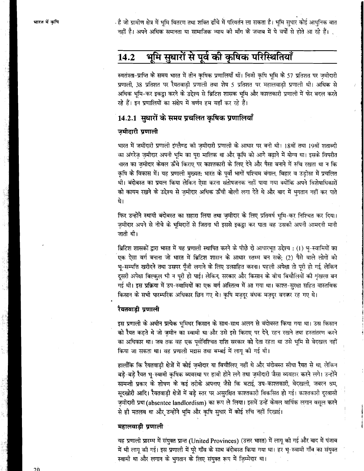है जो ग्रामीण क्षेत्र में भूमि वितरण तथा शक्ति ढाँचे में परिवर्तन ला सकता है। भूमि सुधार कोई आधुनिक बात . नहीं है। अपने अधिक समानता या सामाजिक न्याय की माँग के जवाब में ये वर्षों से होते आ रहे हैं।

## भूमि सुधारों से पूर्व की कृषिक परिस्थितियाँ 14.2

स्वतंत्रता-प्राप्ति के समय भारत में तीन कृषिक प्रणालियाँ थीं। निजी कृषि भूमि के 57 प्रतिशत पर ज़मीदारी प्रणाली, 38 प्रतिशत पर रैयतवाडी प्रणाली तथा शेष 5 प्रतिशत पर महालवाडी प्रणाली थी। अधिक से अधिक भमि-कर इकट्ठा करने के उद्देश्य से ब्रिटिश शासक भूमि और काश्तकारी प्रणाली में फेर बदल करते रहे हैं। इन प्रणालियों का संक्षेप में वर्णन हम यहाँ कर रहे हैं।

## 14.2.1 सुधारों के समय प्रचलित कषिक प्रणालियाँ

## जमीदारी प्रणाली

भारत में जमींदारी प्रणाली इंग्लैण्ड की जमीदारी प्रणाली के आधार पर बनी थी। 18वीं तथा 19वीं शताब्दी का अंगरेज जमीदार अपनी भूमि का परा मालिक था और कृषि को आगे बढ़ाने में योग्य था। इसके विपरीत भारत का जमीदार केवल ऊँचे किराए पर काश्तकारी के लिए देने और पैसा बनाने में रुचि रखता था न कि कृषि के विकास में। यह प्रणाली मुख्यत: भारत के पूर्वी भागों पश्चिम बंगाल, बिहार व उड़ीसा में प्रचलित थी। बंदोबस्त का प्रयत्न किया लेकिन ऐसा करना संतोषजनक नहीं पाया गया क्योंकि अपने विशेषाधिकारों को कायम रखने के उद्देश्य से जमीदार अधिक ऊँची बोली लगा देते थे और बाद में भगतान नहीं कर पाते श्चे।

फिर उन्होंने स्थायी बंदोबस्त का सहारा लिया तथा ज़मीदार के लिए प्रतिवर्ष भूमि-कर निश्चित कर दिया। जमीदार अपने से नीचे के भूमिदारों से जितना भी इससे इकट्ठा कर पाता वह उसकी अपनी आमदनी मानी जाती थी।

ब्रिटिश शासकों द्वारा भारत में यह प्रणाली स्थापित करने के पीछे दो आधारभूत उद्देश्य : (1) भू-स्वामियों का .<br>एक ऐसा वर्ग बनाना जो भारत में ब्रिटिश शासन के आधार स्तम्भ बन सके; (2) पैसे वाले लोगों को भू-सम्पत्ति खरीदने तथा उसपर पुँजी लगाने के लिए उत्साहित करना। पहली अपेक्षा तो पूरी हो गई, लेकिन दुसरी अपेक्षा बिल्कुल भी न पूरी हो पाई। लेकिन, सरकार और किसान के बीच बिचौलियों की शृंखला बन गई थी। इस प्रक्रिया में उप-स्वामियों का एक वर्ग अस्तित्व में आ गया था। काश्त-सरक्षा सहित वास्तविक किसान के सभी पारम्परिक अधिकार छिन गए थे। कृषि मजदुर बंधक मजदुर बनकर रह गए थे।

## रैयतवाडी प्रणाली

इस प्रणाली के अधीन प्रत्येक भूमिधर किसान के साथ-साथ अलग से बंदोबस्त किया गया था। उस किसान को रैयत कहते थे जो ज़मीन का स्वामी था और उसे इसे किराए पर देने, रहन रखने तथा हस्तांतरण करने का अधिकार था। जब तक वह एक पूर्वनिश्चित राशि सरकार को देता रहता था उसे भूमि से बेदखल नहीं किया जा सकता था। वह प्रणाली मद्रास तथा बम्बई में लागू की गई थी।

हालाँकि कि रैयतवाडी क्षेत्रों में कोई जमीदार या बिचौलिए नहीं थे और बंदोबस्त सीधा रैयत से था, लेकिन बड़े-बड़े रैयत भू-स्वामी कृषिक व्यवस्था पर हावी होने लगे तथा ज़मीदारी जैसा व्यवहार करने लगे। उन्होंने सामन्ती प्रकार के शोषण के कई तरीके अपनाए जैसे कि बटाई, उप-काश्तकारी, बेदखली, जबरन श्रम, सुदखोरी आदि। रैयतवाड़ी क्षेत्रों में बड़े स्तर पर असुरक्षित काश्तकारी विकसित हो गई। काश्तकारी दुरवासी ज़मीदारी प्रथा (absentee landlordism) का रूप ले लिया। इसमें उन्हें केवल वार्षिक लगान वसूल करने से ही मतलब था और उन्होंने भूमि और कृषि सुधार में कोई रुचि नहीं दिखाई।

## महालवाड़ी प्रणाली

यह प्रणाली प्रारम्भ में संयुक्त प्रान्त (United Provinces) (उत्तर भारत) में लागू की गई और बाद में पंजाब में भी लागू की गई। इस प्रणाली में पूरे गाँव के साथ बंदोबस्त किया गया था। हर भू-स्वामी गाँव का संयुक्त स्वामी था और लगान के भुगतान के लिए संयुक्त रूप में ज़िम्मेदार था।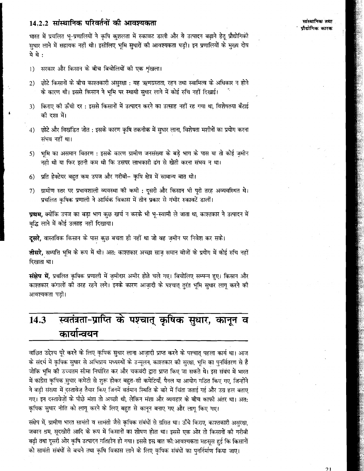## 14.2.2 सांस्थानिक परिवर्तनों की आवश्यकता

भारत में प्रचलित भू-प्रणालियों ने कृषि कुशलता में रुकावट डाली और ये उत्पादन बढ़ाने हेतू प्रौद्योगिकी सुधार लाने में सहायक नहीं थी। इसीलिए भूमि सुधारों की आवश्यकता पड़ी। इन प्रणालियों के मुख्य दोष ये थे:

- सरकार और किसान के बीच बिचोलियों को एक शृंखला।  $\left( \right)$
- छोटे किसानों के बीच काश्तकारी असरक्षा : यह ऋणग्रस्तता रहन तथा स्वामित्व के अधिकार न होने  $2)$ के कारण थी। इससे किसान ने भूमि पर स्थायी सुधार लाने में कोई रुचि नहीं दिखाई।
- किराए की ऊँची दर : इससे किसानों में उत्पादन करने का उत्साह नहीं रह गया था. विशेषतया बँटाई  $\mathcal{E}$ की दशा में।
- छोटे और विखंडित जोत : इसके कारण कृषि तकनीक में सुधार लाना, विशेषता मशीनों का प्रयोग करना 4) संभव नहीं था।
- ंभूमि का असमान वितरण : इसके कारण ग्रामीण जनसंख्या के बड़े भाग के पास या तो कोई ज़मोन  $5)$ नही थी या फिर इतनी कम थी कि उसपर लाभकारी ढंग से खेती करना संभव न था।
- प्रति हेक्टेयर बहुत कम उपज और गरीबी– कृषि क्षेत्र में सामान्य बात थी।  $6)$
- ग्रामीण स्तर पर प्रभावशाली व्यवस्था की कमी : दुसरी और किसान भी पूरी तरह अव्यवस्थित थे। 7) प्रचलित कृषिक प्रणाली ने आर्थिक विकास में तीन प्रकार से गंभीर रुकावटें डालीं।

**प्रथम,** क्योंकि उपज का बड़ा भाग कुछ खर्च न करके भी भ्-स्वामी ले जाता था, काश्तकार ने उत्पादन में वद्धि लाने में कोई उत्साह नहीं दिखाया।

**दूसरे,** वास्तविक किसान के पास कुछ बचता ही नहीं था जो वह ज़मीन पर निवेश कर सके।

**तीसरे,** सम्पत्ति भूमि के रूप में थी। अत: काश्तकार अच्छा साज़ समान बीजों के प्रयोग में कोई रुचि नहीं दिखाता था।

**संक्षेप में,** प्रचलित कृषिक प्रणाली में ज़मीदार अमीर होते चले गए। बिचोलिए सम्पन्न हुए। किसान और काश्तकार कंगालों की तरह रहने लगे। इनके कारण आजादी के पश्चात् तुरंत भूमि सुधार लागू करने की आवश्यकता पड़ी।

# स्वतंत्रता-प्राप्ति के पश्चात् कृषिक सुधार, कानून व 14.3 कार्यान्वयन

वांछित उद्देश्य पूरे करने के लिए कृषिक सुधार लाना आज़ादी प्राप्त करने के पश्चात् पहला कार्य था। आज के संदर्भ में कृषिक सुधार से अभिप्राय मध्यस्थों के उन्मूलन, काश्तकार की सुरक्षा, भूमि का पुनर्वितरण से है जोकि भूमि की उच्चतम सीमा निर्धारित कर और चकबंदी द्वारा प्राप्त किए जा सकते थे। इस संबंध में भारत में कांग्रेस कृषिक सुधार कमेटी से शुरू होकर बहुत-सी कमेटियाँ, पैनल या आयोग गठित किए गए, जिन्होंने ने बड़ी संख्या में दस्तावेज़ तैयार किए जिनमें वर्तमान स्थिति के बारे में चिंता जताई गई और उग्र हल बताए गए। इन दस्तावेज़ों के पीछे मंशा तो अच्छी थी, लेकिन मंशा और व्यवहार के बीच काफी अंतर था। अत: कृषिक सुधार नीति को लागू करने के लिए बहुत से कानून बनाए गए और लागू किए गए।

संक्षेप में, ग्रामीण भारत सामंती व सामंती जैसे कृषिक संबंधों से ग्रसित था। ऊँचे किराए, काश्तकारी असुरक्षा, जबरन श्रम, सूदखोरी आदि के रूप में किसानों का शोषण होता था। इससे एक ओर तो किसानों की गरीबी बढी तथा दुसरी ओर कृषि उत्पादन गतिहीन हो गया। इससे इस बात की आवश्यकता महसूस हुई कि किसानों को सामती संबंधों से बचने तथा कृषि विकास लाने के लिए कृषिक संबंधों का पुनर्निर्माण किया जाए।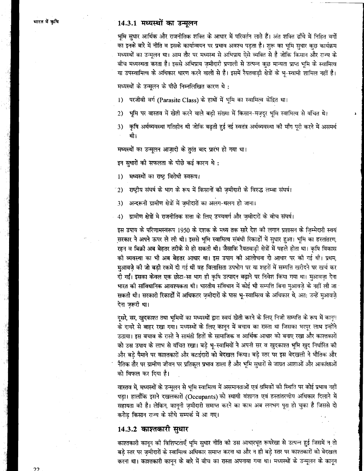## 14.3.1 मध्यस्थों का उन्मुलन

भूमि सुधार आर्थिक और राजनीतिक शक्ति के आधार में परिवर्तन लाते हैं। अंत शक्ति ढाँचे में निहित वर्गों का इनके बारे में नीति व इसके कार्यान्वयन पर प्रभाव अवश्य पड़ता है। शुरू का भूमि सुधार कुछ कार्यक्रम मध्यस्थों का उन्मूलन था। आम तौर पर मध्यस्थ से अभिप्राय ऐसे व्यक्ति से है जोकि किसान और राज्य के बीच मध्यस्थता करता है। इससे अभिप्राय ज़मीदारी प्रणाली से उत्पन्न कुछ मान्यता प्राप्त भूमि के स्वामित्व या उपस्वामित्व के अधिकार धारण करने वालों से है। इसमें रैयतवाड़ी क्षेत्रों के भू-स्वामी शामिल नहीं है।

मध्यस्थों के उन्मूलन के पीछे निम्नलिखित कारण थे:

- परजीवी वर्ग (Parasite Class) के हाथों में भूमि का स्वामित्व केंद्रित था।  $1)$
- भूमि पर वास्तव में खेती करने वाले बडी संख्या में किसान-मज़दुर भूमि स्वामित्व से वंचित थे।  $2)$
- कृषि अर्थव्यवस्था गतिहीन थी जोकि बढती हुई नई स्वतंत्र अर्थव्यवस्था की माँग पूरी करने में असमर्थ 3) थी।

मध्यस्थों का उन्मूलन आजादी के तूरंत बाद प्रारंभ हो गया था।

इन सुधारों की सफलता के पीछे कई कारण थे:

मध्यस्थों का राष्ट्र विरोधी स्वरूप।  $1)$ 

राष्ट्रीय संघर्ष के भाग के रूप में किसानों की ज़मीदारी के विरुद्ध लम्बा संघर्ष।  $2)$ 

- अन्दरूनी ग्रामीण क्षेत्रों में ज़मीदारों का अलग-थलग हो जाना।  $3)$
- ग्रामीण क्षेत्रों मे राजनीतिक सत्ता के लिए उच्चवर्ग और जमीदारों के बीच संघर्ष।  $4)$

इस उपाय के परिणामस्वरूप 1950 के दशक के मध्य तक सारे देश की लगान प्रशासन के जिम्मेदारी स्वयं सरकार ने अपने ऊपर ले ली थी। इससे भूमि स्वामित्व संबंधी रिकार्डों में सुधार हुआ। भूमि का हस्तांतरण, रहन व बिक्री अब बेहतर तरीके से हो सकती थी। जैसाकि रैयतवाड़ी क्षेत्रों में पहले होता था। कृषि विकास की व्यवस्था का भी अब बेहतर आधार था। इस उपाय की आलोचना दो आधार पर की गई थी। प्रथम, मुआवजे की जो बड़ी रकमें दी गई थीं वह विलासिता उपभोग पर या शहरों में सम्पत्ति खरीदने पर खर्च कर दी गईं। इसका केवल एक छोटा-सा भाग ही कृषि उत्पादन बढ़ाने पर निवेश किया गया था। मुआवज़ा देना भारत की सांविधानिक आवश्यकता थी। भारतीय संविधान में कोई भी सम्पत्ति बिना मुआवज़े के नहीं ली जा सकती थी। सरकारी रिकार्डों में अधिकतर ज़मीदारों के पास भू-स्वामित्व के अधिकार थे, अत: उन्हें मुआवजे देना जरूरी था।

दुसरे, सर, खुदकाश्त तथा भूमियों का मध्यस्थों द्वारा स्वयं खेती करने के लिए निजी सम्पत्ति के रूप में कानून के दायरे से बाहर रखा गया। मध्यस्थों के लिए कानून में बचाव का रास्ता था जिसका भरपूर लाभ इन्होंने उठाया। इस बचाव के रास्ते ने सामंती हितों के सामाजिक व आर्थिक आधार को बनाए रखा और काश्तकारों को उस उपाय के लाभ से वंचित रखा। बड़े भू-स्वामियों ने अपनी सर व खुदकाश्त भूमि खुद निर्धारित की और बड़े पैमाने पर काश्तकारों और बटाईदारों को बेदखल किया। बड़े स्तर पर इस बेदखली ने भौतिक और नैतिक तौर पर ग्रामीण जीवन पर प्रतिकूल प्रभाव डाला है और भूमि सुधारों से जाग्रत आशाओं और आकांक्षाओं को विफल कर दिया है।

वास्तव में, मध्यस्थों के उन्मूलन से भूमि स्वामित्व में असमानताओं एवं श्रमिकों को स्थिति पर कोई प्रभाव नहीं पड़ा। हालाँकि इसने दखलकारों (Occupants) को स्थायी वंशागत एवं हस्तांतरणीय अधिकार दिलाने में सहायता की है। लेकिन, कानूनी ज़मीदारी समाप्त करने का काम अब लगभग पूरा हो चुका है जिससे दो करोड़ किसान राज्य के सीधे सम्पर्क में आ गए।

## 14.3.2 काश्तकारी सुधार

काश्तकारी कानून की विशिष्टताएँ भूमि सुधार नीति को उस आधारभूत रूपरेखा से उत्पन्न हुई जिसमें न तो बड़े स्तर पर ज़मीदारों के स्वामित्व अधिकार समाप्त करना था और न ही बड़े स्तर पर काश्तकारों को बेदखल करना था। काश्तकारी कानून के बारे में बीच का रास्ता अपनाया़ गया था। मध्यस्थों के उन्मूलन के कानून

フフ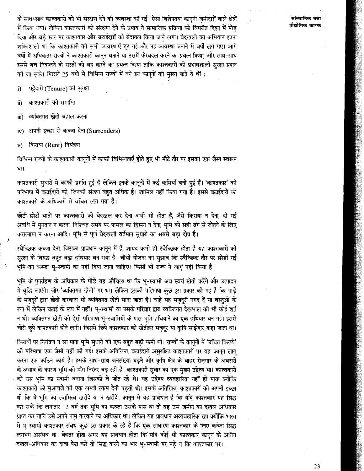के साथ-साथ काश्तकारों को भी संरक्षण देने की व्यवस्था की गई। ऐसा विशेषतया कानूनी जमीदारों वाले क्षेत्रों में किया गया। लेकिन काश्तकारी को संरक्षण देने के उपाय ने सामाजिक प्रक्रिया को विपरीत दिशा में मोड दिया और बड़े स्तर पर काश्तकार और बटाईदारों को बेदखल किया जाने लगा। बेदखली का अभियान इतना शक्तिशाली था कि काश्तकारी की सभी व्यवस्थाएँ ट्ट गई और नई व्यवस्था बनाने में वर्षों लग गए। आगे वर्षों में अधिकतर राज्यों ने काश्तकारी कानून बनाने या उसमें फेरबदल करने का प्रयत्न किया, और साथ-साथ इससे बच निकलने के रास्तों को बंद करने का प्रयत्न किया ताकि काश्तकारों को प्रभावशाली सुरक्षा प्रदान की जा सके। पिछले 25 वर्षों में विभिन्न राज्यों में बने इन कानूनों की मुख्य बातें ये थीं :

पट्टेदारी (Tenure) को सुरक्षा i)

काश्तकारी की समाप्ति  $\ddot{a}$ 

व्यक्तिगत खेती बहाल करना iii)

अपनी इच्छा से कब्जा देना (Surrenders)  $iv)$ 

किराया (Rent) नियंत्रण  $\mathbf{v}$ 

 $\lambda$ 

विभिन्न राज्यों के काश्तकारी कानूनों में काफी विभिन्नताएँ होते हुए भी मौटे तौर पर इसका एक जैसा स्वरूप था।

काश्तकारी सुधारों में काफी प्रगति हुई है लेकिन इनके कानूनों में कई कमियाँ बनी हुई हैं। 'काश्तकार' की परिभाषा में बटाईदारों को, जिनकी संख्या बहुत अधिक है। शामिल नहीं किया गया है। इससे बटाईदारों को काश्तकारों के अधिकारों से वंचित रखा गया है।

छोटी-छोटी बातों पर काश्तकारों को बेदखल कर देना अभी भी होता है, जैसे किराया न देना, दी गई अवधि में भुगतान न करना, निश्चित समये पर फसल का हिस्सा न देना, भूमि को सही ढंग से जोतने के लिए करारनामा न करना आदि। भूमि से पूर्ण बेदखली वर्तमान सुधारो का सबसे बड़ा दोष है।

स्वैच्छिक कब्जा देना, जिसका प्रावधान कानून में है, शायद कभी ही स्वैच्छिक होता है यह काश्तकारों की सुरक्षा के विरुद्ध बहुत बड़ा हथियार बन गया है। चौथी योजना का सुझाव कि स्वैच्छिक तौर पर छोड़ी गई भूमि का कब्जा भू-स्वामी का नहीं दिया जाना चाहिए। किसी भी राज्य ने लागू नहीं किया है।

भूमि के पुनर्ग्रहण के अधिकार के पीछे यह औचित्य था कि भू-स्वामी अब स्वयं खेती करेंगे और उत्पादन में वृद्धि लाएँगे। जोर 'व्यक्तिगत खेती' पर था। लेकिन इसकी परिभाषा कुछ इस प्रकार की गई है कि भाड़े के मज़दूरों द्वारा खेती करवाना भी व्यक्तिगत खेती माना जाता है। चाहे यह मज़दूरी नगद दें या वस्तुओं के रूप में लेकिन बटाई के रूप में नहीं। भू-स्वामी या उसके परिवार द्वारा व्यक्तिगत देखभाल की भी कोई शर्त न थी। व्यक्तिगत खेती की ऐसी परिभाषा भू-स्वामियों के पास भूमि हथियाने का एक हथियार बन गई। इससे चोरी छुपे काश्तकारी होने लगी। जिसमें छिपे काश्तकार को खेतीहर मज़दूर या कृषि साझेदार कहा जाता था।

किरायों पर नियंत्रण न ला पाना भूमि सुधारों की एक बहुत बड़ी कमी थी। राज्यों के कानूनों में 'उचित किराये' को परिभाषा एक जैसी नहीं की गई। इसके अतिरिक्त, बटाईदारों असुरक्षित काश्तकारों पर यह कानुन लागृ करना एक कठिन कार्य है। इसके साथ-साथ जनसंख्या बढ़ने और कृषि क्षेत्र के बाहर रोजगार के अवसरों के अभाव के कारण भूमि की माँग निरंतर बढ़ रही है। काश्तकारी सुधार का एक मुख्य उद्देश्य था। काश्तकारों को उस भूमि का स्वामी बनाना जिसको वे जोत रहे थे। यह उद्देश्य व्यवहारिक नहीं हो पाया क्योंकि काश्तकारों को मुआवजे की एक लम्बी रकम देनी पड़ती थी। इसके अतिरिक्त, काश्तकारों की अपनी इच्छा थी कि वे भूमि का स्वामित्व खरीदें या न खरीदें। कानून में यह प्रावधान है कि यदि काश्तकार यह सिद्ध कर सकें कि लगातार 12 वर्ष तक भूमि का कब्जा उसके पास था तो वह उस जमीन का दखल अधिकार प्राप्त कर यानि उसे अपने नाम करवाने का अधिकार था। लेकिन यह प्रावधान अव्यवहारिक रहा क्योंकि भारत में भू-स्वामी काश्तकार संबंध कुछ इस प्रकार के रहे हैं कि एक साधारण काश्तकार के लिए कब्जा सिद्ध लगभग असंभव था। बेहतर होता अगर यह प्रावधान होता कि यदि कोई भी काश्तकार कानून के अधीन दखल-अधिकार का दावा पेश करे तो सिद्ध करने का भार भू-स्वामी पर पड़े न कि काश्तकार पर।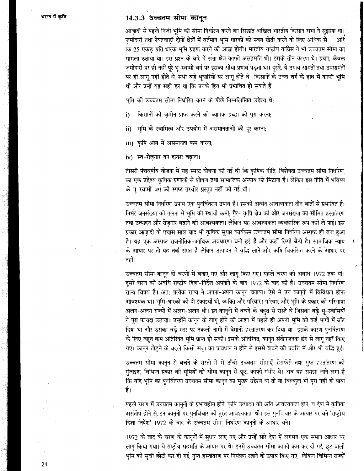## 14.3.3 उच्चतम सीमा कानून

आज़ादी से पहले निजी भूमि की सीमा निर्धारण करने का सिद्धांत अखिल भारतीय किसान सभा ने सुझाया था। जमीदारी तथा रैयतवाड़ी दोनों क्षेत्रों में वर्तमान भूमि धारकों को स्वयं खेती करने के लिए अधिक से अधि ाक 25 एकड़ प्रति धारक भूमि ग्रहण करने को आज्ञा होगी। भारतीय राष्ट्रीय कांग्रेस ने भी उच्चतम सीमा का मामला उठाया था। इस प्रश्न के बारे में सत्ता क्षेत्र काफी असहमति थी। इसके तीन कारण थे। प्रथम, केवल ज़मीदारी पर ही नहीं पूरे भू-स्वामी वर्ग पर इसका सीधा प्रभाव पड़ता था। दूसरे, ये उपाय सामंतों तथा उपसामंतों पर ही लागू नहीं होते थे, सभी बड़े भूधारियों पर लागू होते थे। किसानों के उच्च वर्ग के हाथ में काफी भूमि थी और उन्हें यह सही डर था कि उनके हित भी प्रभावित हो सकते हैं।

भूमि को उच्चतम सीमा निर्धारित करने के पीछे निम्नलिखित उद्देश्य थे:

- किसानों की ज़मीन प्राप्त करने की व्यापक इच्छा को पूरा करना; i)
- भूमि के स्वामित्व और उपयोग में असमानताओं को दूर करना; ii)

iii) कृषि आय में असमानता कम करना;

iv) स्व-रोज़गार का दायरा बढ़ाना।

तीसरी पंचवर्षीय योजना में यह स्पष्ट घोषणा को गई थी कि कृषिक नीति, विशेषता उच्चतम सीमा निर्धारण, का एक उद्देश्य कृषिक प्रणाली से शोषण तथा सामाजिक अन्याय को मिटाना है। लेकिन इस नीति में भविष्य के भू-स्वामी वर्ग की स्पष्ट तस्वीर प्रस्तुत नहीं की गई थी।

उच्चतम सीमा निर्धारण उपाय एक पुनर्वितरण उपाय है। इसकी अत्यंत आवश्यकता तीन बातों से प्रभावित है: निर्भर जनसंख्या को तुलना में भूमि की स्थायी कमी; ग़ैर- कृषि क्षेत्र की ओर जनसंख्या का सीमित हस्तांतरण तथा उत्पादन और रोज़गार बढ़ाने की आवश्यकता। लेकिन यह आवश्यकता व्यवहारिक रूप नहीं ले पाई। इस प्रकार आज़ादी के पचास साल बाद भी कृषिक सुधार कार्यक्रम उच्चतम सीमा निर्धारण अस्पष्ट ही बना हुआ है। यह एक अस्पष्ट राजनीतिक-आर्थिक अवधारणा बनी हुई है और कहीं छिपी बैठी है। सामाजिक न्याय के आधार पर तो यह तर्क संगत है लेकिन उत्पादन में वृद्धि लाने और कषि विकसित करने के आधार पर नहीं।

उच्चतम सीमा कानून दो चरणों में बनाए गए और लागू किए गए। पहले चरण की अवधि 1972 तक थी। दूसरे चरण की अवधि राष्ट्रीय दिशा-निर्देश अपनाने के बाद 1972 के बाद को है। उच्चतम सीमा निर्धारण राज्य विषय है। अत: प्रत्येक राज्य ने अपना-अपना कानून बनाया। ऐसे में उन कानूनों में विविधता होना आवश्यक था। भूमि-धारकों को दो इकाइयाँ थीं, व्यक्ति और परिवार। परिवार और भूमि के प्रकार को परिभाषा अलग-अलग राज्यों में अलग-अलग थी। इन कानूनों में बचने के बहुत से रास्ते थे जिसका बड़े भू-स्वामियों ने पूरा फायदा उठाया। उन्होंने कानून के लागू होने की आशा में पहले ही अपनी भूमि को कई भागों में बाँट दिया था और उसका बड़े स्तर पर नकली नामों में बेमानी हस्तांतरण कर दिया था। इसके कारण पुनर्वितरण के लिए बहुत कम अतिरिक्त भूमि प्राप्त हो सकी। इसके अतिरिक्त, कानून संतोपजनक ढंग से लागू नहीं किए गए। कानून तोड़ने के बदले किसी सज़ा का प्रावधान न होने से इससे बचने की प्रवृत्ति में और भी वृद्धि हुई।

उच्चतम सीमा कानून से बचने के रास्तों में से ऊँची उच्चतम सीमाएँ, हेराफेरी तथा गुप्त हस्तांतरण की गुंजाइश, विभिन्न प्रकार की भूमियों को सीमा कानून से छूट, काफी गंभीर थे। अब यह समझा जाने लगा है कि यदि भूमि का पुनर्वितरण उच्चतम सीमा कानून का मुख्य उद्देश्य था तो या बिल्कुल भी पूरा नहीं हो पाया है।

पहले चरण में उच्चतम कानूनों के प्रभावहीन होने, कृषि उत्पादन की अति आवश्यकता होने, व देश में कृषिक असंतोष होने से, इन कानूनों पर पुनर्विचार को तुरंत आवश्यकता थी। इस पुनर्विचार के आधार पर बने 'राष्ट्रोय दिशा निर्देश' 1972 के बाद के उच्चतम सीमा निर्धारण कानूनों के आधार बने।

1972 के बाद के चरण के कानूनों में सुधार लाए गए और उन्हें सारे देश में लगभग एक समान आधार पर लागू किया गया। ये राष्ट्रीय सहमति के आधार पर थे। इनमें उच्चतम सीमा काफी कम कर दी गई, छूट वाली भूमि की सूची छोटी कर दी गई, गूप्त हस्तांतरण पर नियंत्रण रखने के उपाय किए गए। लेकिन विभिन्न राज्यों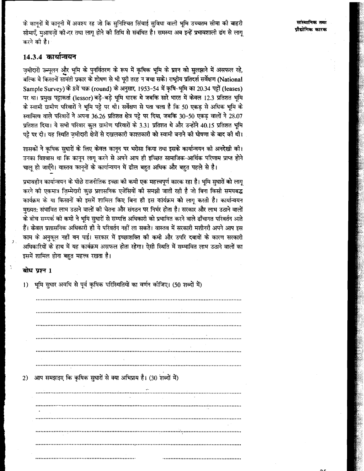मांस्थानिक तथा पौद्योगिक कारक

के कानूनों में कानूनी में अवश्य रह जो कि सुनिश्चित सिंचाई सुविधा वाली भूमि उच्चतम सीमा की बाहरी सीमाएँ मआवजों की दर तथा लाग होने की तिथि से संबंधित है। समस्या अब इन्हें प्रभावशाली ढंग से लाग करने की है।

# 14.3.4 कार्यान्वयन

ज़मीदारी उच्मूलन और भूमि के पुनर्वितरण के रूप में कृषिक भूमि के प्रश्न को सुलझाने में असफल रहे, बल्कि वे किसानों सामंती प्रकार के शोषण से भी पूरी तरह न बचा सके। राष्ट्रीय प्रतिदर्श सर्वेक्षण (National Sample Survey) के 8वें चक्र (round) के अनुसार, 1953-54 में कृषि-भूमि का 20.34 पट्टों (leases) पर था। प्रमुख पट्टाकर्ता (lessor) बड़े-बड़े भूमि धारक थे जबकि सारे भारत में केवल 12.3 प्रतिशत भूमि के स्वामी ग्रामीण परिवारों ने भूमि पट्टे पर थी। सर्वेक्षण से पता चला है कि 50 एकड़ से अधिक भूमि के स्वामित्व वाले परिवारों ने अपना 36.26 प्रतिशत क्षेत्र पट्टे पर दिया, जबकि 30-50 एकड़ वालों ने 28.07 प्रतिशत दिया। ये सभी परिवार कुल ग्रामीण परिवारों के 3.31 प्रतिशत थे और उन्होंने 40.15 प्रतिशत भूमि पट्टे पर दी। यह स्थिति ज़मीदारी क्षेत्रों से दखलकारी काश्तकारी को स्वामी बनाने की घोषणा के बाद की थी।

शासकों ने कृषिक सुधारों के लिए केवल कानून पर भरोसा किया तथा इसके कार्यान्वयन की अनदेखी की। उनका विश्वास था कि कानून लागू करने से अपने आप ही इच्छित सामाजिक-आर्थिक परिणाम प्राप्त होने चाल हो जाएँगे। वास्तव कानूनों के कार्यान्वयन में ढील बहुत अधिक और बहुत पहले से है।

प्रभावहीन कार्यान्वयन के पीछे राजनीतिक इच्छा की कमी एक महत्त्वपूर्ण कारक रहा है। भूमि सृधारों को लाग् करने को एकमात्र जि़म्मेदारी कुछ प्रशासनिक एजेंसियों की समझी जाती रही है जो बिना किसी समयबद्ध कार्यक्रम के या किसानों को इसमें शामिल किए बिना ही इस कार्यक्रम को लागू करती है। कार्यान्वयन मुख्यत: संभावित लाभ उठाने वालों की चेतना और संगठन पर निर्भर होता है। सरकार और लाभ उठाने वालों के बीच सम्पर्क की कमी ने भूमि सुधारों से सम्पत्ति अधिकारी को प्रभावित करने वाले ढाँचागत परिवर्तन आते हैं। केवल प्रशासनिक अधिकारी ही ये परिवर्तन नहीं ला सकते। वास्तव में सरकारी मशीनरी अपने आप इस काम के अनुकल नहीं बन पाई। सरकार में इच्छाशक्ति की कमी और उपरि दबावों के कारण सरकारी अधिकारियों के हाथ में यह का<del>र्य</del>क्रम असफल होता रहेगा। ऐसी स्थिति में सम्भावित लाभ उठाने वालों का इसमें शामिल होना बहुत महत्त्व रखता है।

## बोध प्रश्न 1

 $\mathcal{L}$ 

| $\left  \right\rangle$ | भूमि सुधार अवधि से पूर्व कृषिक परिस्थितियों का वर्णन कीजिए। (50 शब्दों में) |  |
|------------------------|-----------------------------------------------------------------------------|--|
|                        |                                                                             |  |
|                        |                                                                             |  |
|                        |                                                                             |  |
|                        |                                                                             |  |
|                        |                                                                             |  |
|                        |                                                                             |  |
|                        |                                                                             |  |
| 2)                     | आप समझाइए कि कृषिक सुधारों से क्या अभिप्राय है। (30 शब्दों में)             |  |
|                        |                                                                             |  |
|                        |                                                                             |  |
|                        |                                                                             |  |
|                        |                                                                             |  |
|                        |                                                                             |  |
|                        |                                                                             |  |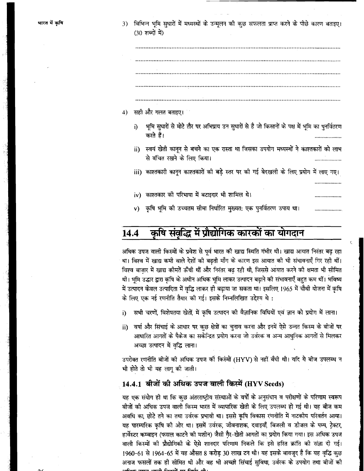विभिन्न भूमि सुधारों में मध्यस्थों के उन्मूलन की कुछ सफलता प्राप्त करने के पीछे कारण बताइए।  $3)$ (30 शब्दों में)

- सही और गलत बताइए। 4)
	- भूमि सुधारों से मोटे तौर पर अभिप्राय उन सुधारों से है जो किसानों के पक्ष में भूमि का पुनर्वितरण  $\ddot{\mathbf{n}}$ करते हैं।
	- ii) स्वयं खेती कानून से बचने का एक रास्ता था जिसका उपयोग मध्यस्थों ने काश्तकारों को लाभ से वंचित रखने के लिए किया।

iii) काश्तकारी कानून काश्तकारों की बड़े स्तर पर की गई बेदखली के लिए प्रयोग में लाए गए।

- iv) काश्तकार की परिभाषा में बटाइदार भी शामिल थे।
- v) कृषि भूमि को उच्चतम सीमा निर्धारित मुख्यत: एक पुनर्वितरण उपाय था।

## कृषि संवृद्धि में प्रौद्योगिक कारकों का योगदान 14.4

अधिक उपज वाली किस्मों के प्रवेश से पूर्व भारत की खाद्य स्थिति गंभीर थी। खाद्य आयात निरंतर बढ़ रहा था। विश्व में खाद्य कमी वाले देशों की बढ़ती माँग के कारण इस आयात की भी संभावनाएँ गिर रही थीं। विश्व बाज़ार में खाद्य कीमतें ऊँची थीं और निरंतर बढ़ रही थी, जिससे आयात करने की क्षमता भी सीमित थी। भूमि उद्धार द्वारा कृषि के अधीन अधिक भूमि लाकर उत्पादन बढ़ाने की संभावनाएँ बहुत कम थीं। भविष्य में उत्पादन केवल उत्पादिता में वृद्धि लाकर ही बढ़ाया जा सकता था। इसलिए 1965 में चौथी योजना में कृषि के लिए एक नई रणनीति तैयार की गई। इसके निम्नलिखित उद्देश्य थे:

- सभी चरणों, विशेषतया खेतों, में कृषि उत्पादन की वैज्ञानिक विधियों एवं ज्ञान को प्रयोग में लाना। i)
- वर्षा और सिंचाई के आधार पर कुछ क्षेत्रों का चुनाव करना और इनमें ऐसे उन्नत किस्म के बीजों पर ii) आधारित आगतों के पैकेज का सकेन्द्रित प्रयोग करना जो उर्वरक व अन्य आधुनिक आगतों से मिलकर अच्छा उत्पादन में वृद्धि लाना।

उपरोक्त रणनीति बीजों की अधिक उपज की किस्मों (HYV) से नहीं बँधी थी। यदि ये बीज उपलब्ध न भी होते तो भी यह लागू की जाती।

# 14.4.1 बीजों की अधिक उपज वाली किस्में (HYV Seeds)

यह एक संयोग ही था कि कुछ अंतरराष्ट्रीय संस्थाओं के वर्षों के अनुसंधान व परीक्षणों के परिणाम स्वरूप बीजों की अधिक उपज वाली किस्म भारत में व्यापारिक खेती के लिए उपलब्ध हो गई थी। यह बीज कम अवधि का, छोटे तने का तथा उर्वरक प्रभावी था। इससे कृषि विकास रंगनीति में नाटकीय परिवर्तन आया। यह पारम्परिक कृषि को ओर था। इसमें उर्वरक, जीवनाशक, दवाइयाँ, बिजली व डीजल के पम्प, ट्रेक्टर, हार्वेस्टर कम्बाइन (फसल काटने को मशीन) जैसी गै़र-खेती आगतों का प्रयोग किया गया। इस अधिक उपज वाली किस्मों की प्रौद्योगिकी के ऐसे शानदार परिणाम निकले कि इसे हरित क्रांति की संज्ञा दी गई। 1960-61 से 1964-65 में यह औसत 8 करोड़ 30 लाख टन थी। यह इसके बावजूद है कि यह वृद्धि कुछ अनाज फसलों तक ही सीमित थी और वह भी अच्छी सिंचाई सुविधा, उर्वरक के उपयोग तथा बीजों की ، <del>۵، ۱۰، ۹، ۱۰، ۱۰، ۵۰۰۰ ۵۰۰۰ - ۰۰</del>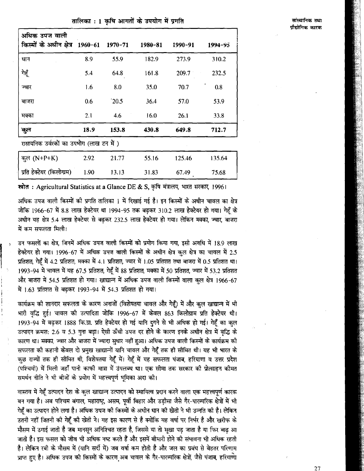## तालिका : 1 कषि आगतों के उपयोग में प्रगति

| अधिक उपज वाली<br>किस्मों के अधीन क्षेत्र 1960-61 1970-71 |      |       | 1980-81     | 1990-91 | $1994 - 95$ |
|----------------------------------------------------------|------|-------|-------------|---------|-------------|
| धान                                                      | 8.9  | 55.9  | 182.9       | 273.9   | 310.2       |
| गेहूँ                                                    | 5.4  | 64.8  | 161.8       | 209.7   | 232.5       |
| ज्वार                                                    | 1.6  | 8.0   | <b>35.0</b> | 70.7    | 0.8         |
| बाजरा                                                    | 0.6  | 20.5  | 36.4        | 57.0    | 53.9        |
| मक्का                                                    | 2.1  | 4.6   | 16.0        | 26.1    | 33.8        |
| कुल                                                      | 18.9 | 153.8 | 430.8       | 649.8   | 712.7       |
| रासायनिक उर्वरकों का उपभोग (लाख टन में )                 |      |       |             |         |             |
| कुल (N+P+K)                                              | 2.92 | 21.77 | 55.16       | 125.46  | 135.64      |
| प्रति हेक्टेयर (किलोग्राम)                               | 1.90 | 13.13 | 31.83       | 67.49   | 75.68       |

स्रोत: Agricultural Statistics at a Glance DE & S, कृषि मंत्रालय, भारत सरकार, 1996।

अधिक उपज वाली किस्मों की प्रगति तालिका 1 में दिखाई गई है। इन किस्मों के अधीन चावल का क्षेत्र जोकि 1966-67 में 8.8 लाख हेक्टेयर था 1994-95 तक बढ़कर 310.2 लाख हेक्टेयर हो गया। गेहूँ के अधीन यह क्षेत्र 5.4 लाख हेक्टेयर से बढकर 232.5 लाख हेक्टेयर हो गया। लेकिन मक्का, ज्वार, बाजरा में कम सफलता मिली।

उन फसलों का क्षेत्र, जिनमें अधिक उपज वाली किस्मों को प्रयोग किया गया, इसी अवधि में 18.9 लाख हेक्टेयर हो गया। 1996-67 में अधिक उपज वाली किस्मों के अधीन क्षेत्र कल क्षेत्र का चावल में 2.5 प्रतिशत, गेहूँ में 4.2 प्रतिशत, मक्का में 4.1 प्रतिशत, ज्वार में 1.05 प्रतिशत तथा बाजरा में 0.5 प्रतिशत था। 1993-94 में चावल में यह 67.5 प्रतिशत, गेहूँ में 88 प्रतिशत, मक्का में 50 प्रतिशत, ज्वार में 53.2 प्रतिशत और बाजरा में 54.5 प्रतिशत हो गया। खाद्यान्न में अधिक उपज वाली किस्मों वाला कुल क्षेत्र 1966-67 में 1.63 प्रतिशत से बढ़कर 1993-94 में 54.3 प्रतिशत हो गया।

कार्यक्रम की शानदार सफलता के कारण अनाजों (विशेषतया चावल और गेहूँ) में और कुल खाद्यान्न में भी भारी वृद्धि हुई। चावल की उत्पादिता जोकि 1996-67 में केवल 863 किलोग्राम प्रति हेक्टेयर थी। 1993-94 में बढ़कर 1888 कि.ग्रा. प्रति हेक्टेयर हो गई यानि दुगने से भी अधिक हो गई। गेहूँ का कुल उत्पादन क्रमश: 2.6 व 5.3 गुना बढ़ा। ऐसी ऊँची उपज दर होने के कारण इनके अधीन क्षेत्र में वृद्धि के कारण था। मक्का, ज्वार और बाजरा में ज्यादा सुधार नहीं हुआ। अधिक उपज वाली किस्मों के कार्यक्रम की सफलता की कहानी केवल दो प्रमुख खाद्यान्नों यानि चावल और गेहूँ तक ही सीमित थी। यह भी भारत के कुछ राज्यों तक ही सीमित थी, विशेषतया गेहूँ में। गेहूँ में यह सफलता पंजाब, हरियाणा व उत्तर प्रदेश ्<br>(पश्चिमी) में मिली जहाँ पानी काफी मात्रा में उपलब्ध था। एक सीमा तक सरकार की प्रोत्साहन कीमत समर्थन नीति ने भी बीजों के प्रयोग में महत्त्वपूर्ण भूमिका अदा की।

वास्तव में गेहूँ उत्पादन देश के कुल खाद्यान्न उत्पादन को स्थायित्व प्रदान करने वाला एक महत्त्वपूर्ण कारक बन गया है। अब पश्चिम बंगाल, महाराष्ट्र, असम, पूर्वी बिहार और उड़ीसा जैसे गैर-पारम्परिक क्षेत्रों में भी गेहँ का उत्पादन होने लगा है। अधिक उपज की किस्मों के अधीन धान की खेती ने भी उन्नति की है। लेकिन उतनी नहीं जितनी की गेहूँ की खेती ने। यह इस कारण से है क्योंकि यह वर्षा पर निर्भर है और खरीफ के मौसम में उगाई जाती है जब मानसून अनिश्चित रहता है, जिससे या तो सुखा पड़ जाता है या फिर बाढ आ जाती है। इस फसल को जीव भी अधिक नष्ट करते हैं और इसमें बीमारी होने की संभावना भी अधिक रहती है। लेकिन रबी के मौसम में (यानि सर्दी में) जब वर्षा कम होती है और जल का प्रबंध से बेहतर परिणाम प्राप्त हुए है। अधिक उपज की किस्मों के कारण अब चावल के गैर-पारम्परिक क्षेत्रों, जैसे पंजाब, हरियाणा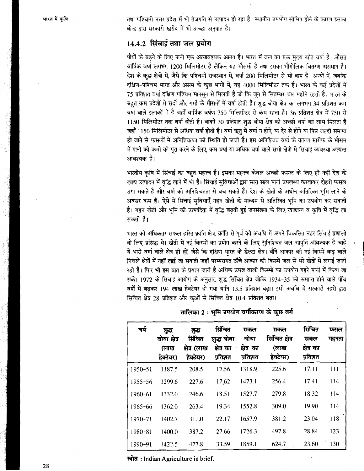तथा पश्चिमी उत्तर प्रदेश में भी तेजगति से उत्पादन हो रहा है। स्थानीय उपभोग सीमित होने के कारण इसका केन्द्र द्वारा सरकारी खरीद में भी अच्छा अनुपात है।

# 14.4.2 सिंचाई तथा जल प्रयोग

पौधों के बढ़ने के लिए पानी एक अत्यावश्यक आगत है। भारत में जल का एक मुख्य स्रोत वर्षा है। औसत वार्षिक वर्षा लगभग 1200 मिलिमीटर है लेकिन यह मौसमी है तथा इसका भौगोलिक वितरण असमान है। देश के कुछ क्षेत्रों में, जैसे कि पश्चिमी राजस्थान में, वर्षा 200 मिलिमीटर से भी कम है। अन्यों में, जबकि दक्षिण-पश्चिम भारत और असम के कुछ भागों में, यह 4000 मिलिमीटर तक है। भारत के कई प्रदेशों में 75 प्रतिशत वर्षा दक्षिण पश्चिम मानसून से मिलती है जो कि जून से सितम्बर चार महीने रहती है। भारत के बहुत कम प्रदेशों में सर्दी और गर्मी के मौसमों में वर्षा होती है। शुद्ध बोया क्षेत्र का लगभग 34 प्रतिशत कम वर्षा वाले इलाकों में है जहाँ वार्षिक वर्षण 750 मिलिमीटर से कम रहता है। 36 प्रतिशत क्षेत्र में 750 से 1150 मिलिमीटर तक वर्षा होती है। बाकी 30 प्रतिशत शुद्ध बोया क्षेत्र को अच्छी वर्षा का लाभ मिलता है जहाँ 1150 मिलिमीटर से अधिक वर्षा होती है। वर्षा ऋतु में वर्षा न होने, या देर से होने या फिर जल्दी समाप्त हो जाने से फसलों में अनिश्चितता की स्थिति हो जाती है। इस अनिश्चित वर्षा के कारण खरीफ के मौसम .<br>में पानी की कमी को पूरा करने के लिए, कम वर्षा या अधिक वर्षा वाले सभी क्षेत्रों में सिंचाई व्यवस्था अत्यन्त आवश्यक है।

भारतीय कृषि में सिंचाई का बहुत महत्त्व है। इसका महत्त्व केवल अच्छी फसल के लिए ही नहीं देश के खाद्य उत्पादन में वृद्धि लाने में भी है। सिंचाई सुविधाओं द्वारा सारा साल पानी उपलब्ध करवाकर दोहरी फसल उगा सकते हैं और वर्षा की अनिश्चितता से बच सकते हैं। देश के खेती के अधीन अतिरिक्त भूमि लाने के अवसर कम हैं। ऐसे में सिंचाई सुविधाएँ गहन खेती के माध्यम से अतिरिक्त भूमि का उपयोग कर सकती हैं। गहन खेती और भूमि की उत्पादिता में वृद्धि बढ़ती हुई जनसंख्या के लिए खाद्यान्न व कृषि में वृद्धि ला सकती है।

भारत की अधिकतर सफल हरित क्रांति क्षेत्र, क्रांति से पूर्व की अवधि में अपने विकसित नहर सिंचाई प्रणाली के लिए प्रसिद्ध थे। खेती में नई किस्मों का प्रयोग करने के लिए सुनिश्चित जल आपूर्ति आवश्यक है चाहे ये भारी वर्षा वाले क्षेत्र ही हों, जैसे कि दक्षिण भारत के डेल्टा क्षेत्र। बौने आकार की नई किस्में बाढ़ वाले निचले क्षेत्रों में नहीं लाई जा सकती जहाँ परम्परागत ऊँचे आकार की किस्में जल से भरे खेतों में लगाई जाती रही है। फिर भी इस बात के प्रयत्न जारी है अधिक उपज वाली किस्मों का उपयोग गहरे पानी में किया जा सके। 1972 के सिंचाई आयोग के अनुसार, शुद्ध सिंचित क्षेत्र जोकि 1934-35 को समाप्त होने वाले पाँच वर्षों में बढ़कर 194 लाख हेक्टेयर हो गया यानि 13.5 प्रतिशत बढ़ा। इसी अवधि में सरकारी नहरों द्वारा सिंचित क्षेत्र 28 प्रतिशत और कुओं से सिंचित क्षेत्र 10.4 प्रतिशत बढ़ा।

| वर्ष        | शृद्ध<br>बोया क्षेत्र<br>(लाख<br>हेक्टेयर) | ग्रन्द<br>सिंचित<br>क्षेत्र (लाख<br>हेक्टेयर) | सिंचित<br>शुद्ध बोया<br>क्षेत्र का<br>प्रतिशत | सकल<br>बोया<br>क्षेत्र का<br>प्रतिशत | सकल<br>सिंचित क्षेत्र<br>(लाख<br>हेक्टेयर) | सिंचित<br>सकल<br>क्षेत्र का<br>प्रतिशत | फसल<br>गहनता |
|-------------|--------------------------------------------|-----------------------------------------------|-----------------------------------------------|--------------------------------------|--------------------------------------------|----------------------------------------|--------------|
| $1950 - 51$ | 1187.5                                     | 208.5                                         | 17.56                                         | 1318.9                               | 225.6                                      | 17.11                                  | 111          |
| $1955 - 56$ | 1299.6                                     | 227.6                                         | 17.62                                         | 1473.1                               | 256.4                                      | 17.41                                  | 114          |
| $1960 - 61$ | 1332.0                                     | 246.6                                         | 18.51                                         | 1527.7                               | 279.8                                      | 18.32                                  | 114          |
| $1965 - 66$ | 1362.0                                     | 263.4                                         | 19.34                                         | 1552.8                               | 309.0                                      | 19.90                                  | 114          |
| $1970 - 71$ | 1402.7                                     | 311.0                                         | 22.17                                         | 1657.9                               | 381.2                                      | 23.04                                  | 118          |
| 1980-81     | 1400.0                                     | 387.2                                         | 27.66                                         | 1726.3                               | 497.8                                      | 28.84                                  | 123          |
| 1990-91     | 1422.5                                     | 477.8                                         | 33.59                                         | 1859.1                               | 624.7                                      | 23.60                                  | 130          |

तालिका 2: भूमि उपयोग वर्गीकरण के कुछ वर्ग

स्रोत: Indian Agriculture in brief.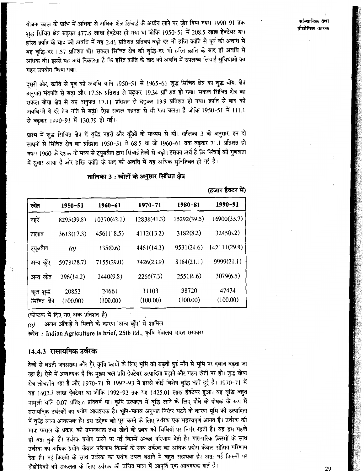योजना काल के प्रारंभ में अधिक से अधिक क्षेत्र सिंचाई के अधीन लाने पर जोर दिया गया। 1990-91 तक शुद्ध सिंचित क्षेत्र बढ़कर 477.8 लाख हेक्टेयर हो गया था जोकि 1950-51 में 208.5 लाख हेक्टेयर था। हरित क्रांति के बाद की अवधि में यह 2.41 प्रतिशत प्रतिवर्ष बढ़ी दर भी हरित क्रांति से पूर्व की अवधि में यह वृद्धि-दर 1.57 प्रतिशत थी। सकल सिंचित क्षेत्र की वृद्धि-दर भी हरित क्रांति के बाद ही अवधि में अधिक थी। इससे यह अर्थ निकलता है कि हरित क्रांति के बाद की अवधि में उपलब्ध सिंचाई सुविधाओं का गहन उपयोग किया गया।

दूसरी ओर, क्रांति से पूर्व की अवधि यानि 1950-51 से 1965-65 शुद्ध सिंचित क्षेत्र का शुद्ध बोया क्षेत्र अनुपात मंदगति से बढ़ा और 17.56 प्रतिशत से बढ़कर 19.34 प्रनिशत हो गया। सकल सिंचित क्षेत्र का सकल बोया क्षेत्र से यह अनुपात 17.11 प्रतिशत से नढ़कर 19.9 प्रतिशत हो गया। क्रांति से बाद की अवधि में ये दरें तेज गति से बढ़ीं। ऐसा सकल गहनता से भी पता चलता है जोकि 1950-51 में 111.1 से बढ़कर 1990-91 में 130.79 हो गई।

प्रारंभ में शुद्ध सिंचित क्षेत्र में वृद्धि नहरों और कुँओं के माध्यम से थी। तालिका 3 के अनुसार, इन दो साधनों से सिंचित क्षेत्र का प्रतिशत 1950-51 में 68.5 था जो 1960-61 तक बढ़कर 71.1 प्रतिशत हो गया। 1960 के दशक के मध्य से ट्यूबवैल द्वारा सिंचाई तेजी से बढ़ी। इसका अर्थ है कि सिंचाई की गुणवत्ता में सुधार आया है और हरित क्रांति के बाद की अवधि में यह अधिक सुनिश्चित हो गई है।

|                             |                   |                   |                   |                   | (हजार हक्टर म)    |
|-----------------------------|-------------------|-------------------|-------------------|-------------------|-------------------|
| स्रोत                       | $1950 - 51$       | $1960 - 61$       | $1970 - 71$       | 1980-81           | 1990-91           |
| नहरें                       | 8295(39.8)        | 10370(42.1)       | 12838(41.3)       | 15292(39.5)       | 16900(35.7)       |
| तालाब                       | 3613(17.3)        | 4561(18.5)        | 4112(13.2)        | 3182(8.2)         | 3245(6.2)         |
| ट्यूबवैल                    | (a)               | 135(0.6)          | 4461(14.3)        | 9531(24.6)        | 142111(29.9)      |
| अन्य कुँए                   | 5978(28.7)        | 7155(29.0)        | 7426(23.9)        | 8164(21.1)        | 9999(21.1)        |
| अन्य स्रोत                  | 296(14.2)         | 2440(9.8)         | 2266(7.3)         | 2551(6.6)         | 3079(6.5)         |
| कुल शुद्ध<br>सिंचित क्षेत्र | 20853<br>(100.00) | 24661<br>(100.00) | 31103<br>(100.00) | 38720<br>(100.00) | 47434<br>(100.00) |

तालिका 3 : स्त्रोतों के अनुसार सिंचित क्षेत्र

(कोष्ठक में दिए गए अंक प्रतिशत है)

अलग आँकड़े ने मिलने के कारण 'अन्य कुँए' में शामिल  $(a)$ 

स्त्रोत: Indian Agriculture in brief, 25th Ed., कृषि मंत्रालय भारत सरकार।

# 14.4.3 रासायनिक उर्वरक

तेजी से बढ़ती जनसंख्या और गै़र कृषि कार्यों के लिए भूमि की बढ़ती हुई माँग से भूमि पर दबाव बढ़ता जा रहा है। ऐसे में आवश्यक है कि मुख्य बल प्रति हेक्टेयर उत्पादिता बढ़ाने और गहन खेती पर हो। शुद्ध बोया क्षेत्र लोचहीन रहा है और 1970-71 से 1992-93 में इससे कोई विशेष वृद्धि नहीं हुई है। 1970-71 में यह 1402.7 लाख हेक्टेयर था जोकि 1992-93 तक यह 1425.01 लाख हेक्टेयर हुआ। यह वृद्धि बहुत मामूली यानि 0.07 प्रतिशत प्रतिवर्ष था। कृषि उत्पादन में वृद्धि लाने के लिए पौधे के पोषक के रूप में रासायनिक उर्वरकों का प्रयोग आवश्यक है। भूमि-मानव अनुपात निरंतर घटने के कारण भूमि की उत्पादिता में वृद्धि लाना आवश्यक है। इस उद्देश्य को पूरा करने के लिए उर्वरक एक महत्त्वपूर्ण आगत है। उर्वरक की मात्रा फसल के प्रकार, को उपलब्धता तथा खेती के प्रबंध की विधियों पर निर्भर रहती है। यह हम पहले ही बता चुके हैं। उर्वरक प्रयोग करने पर नई किस्में अच्छा परिणाम देती है। पारम्परिक किस्मों के साथ उर्वरक का अधिक प्रयोग केवल परिणाम किस्मों के साथ उर्वरक का अधिक प्रयोग केवल सीमित परिणाम देता है। नई किस्मों के साथ उर्वरक का प्रयोग उपज बढ़ाने में बहुत सहायक है। अत: नई किस्मों पर प्रौद्योगिकी की सफलता के लिए उर्वरक की उचित मात्रा में आपूर्ति एक आवश्यक शर्त है।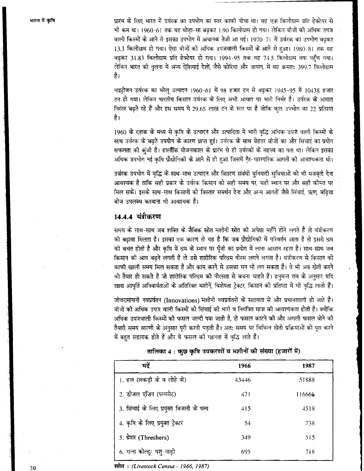प्रारंभ के लिए भारत में उर्वरक का उपभोग का स्तर काफी नीचा था। यह एक किलोग्राम प्रति हेक्टेयर से भी कम था। 1960-61 तक यह थोड़ा-सा बढ़कर 1.90 किलोग्राम हो गया। लेकिन बीजों की अधिक उपज वाली किस्मों के आने से इसका उपभोग में अचानक तेजी आ गई। 1970-71 में उर्वरक का उपभोग बढ़कर 13.3 किलोग्राम हो गया। ऐसा बीजों की अधिक उपजवाली किस्मों के आने से हुआ। 1980-81 तक यह बढकर 31.83 किलोग्राम प्रति हेक्टेयर हो गया। 1994-95 तक यह 74.5 किलोग्राम तक पहुँच गया। लेकिन भारत की तलना में अन्य ऐशियाई देशों जैसे कोरिया और जापान, में यह क्रमश: 399.7 किलोग्राम है।

नाइट्रोजन उर्वरक का घरेलु उत्पादन 1960-61 में 98 हजार टन से बढकर 1945-95 में 10438 हजार टन हो गया। लेकिन भारतीय किसान उर्वरक के लिए अभी आयात पर भारी निर्भर है। उर्वरक के आयात निरंतर बढते रहे हैं और इस समय ये 29.65 लाख टन के स्तर पर है जोकि कल उपभोग का 22 प्रतिशत है।

1960 के दशक के मध्य से कृषि के उत्पादन और उत्पादिता में भारी वृद्धि अधिक उपज वाली किस्मों के साथ उर्वरक के बढ़ते उपयोग के कारण प्राप्त हुई। उर्वरक के साथ बेहतर बीजों का और सिंचाई का प्रयोग सफलता की कुंजी है। हालाँकि योजनाकाल के प्रारंभ से ही उर्वरकों के महत्त्व का पता था। लेकिन इसका अधिक उपभोग नई कृषि प्रौद्योगिकी के आने से ही हुआ जिसमें गैर-पारम्परिक आगतों की आवश्यकता थी।

उर्वरक उपभोग में वृद्धि के साथ-साथ उत्पादन और वितरण संबंधी बुनियादी सुविधाओं को भी मजबूती देना आवश्यक है ताकि सही प्रकार के उर्वरक किसान को सही समय पर सही स्थान पर और सही कोमत पर मिल सकें। इसके साथ-साथ किसानों को विस्तार समर्थन देना और अन्य आगतों जैसे सिंचाई, ऋण, बढिया बीज उपलब्ध करवाना भी आवश्यक है।

# 14.4.4 यंत्रीकरण

समय के साथ-साथ जब शक्ति के जैविक स्रोत मशीनी स्रोत की अपेक्षा महँगे होने लगते हैं तो यंत्रीकरण को बढावा मिलता है। इसका एक कारण तो यह है कि जब प्रौद्योगिकी में परिवर्तन आता है तो इससे श्रम की बचत होती है और कृषि में श्रम के स्थान पर पुँजी का प्रयोग में लाना आसान रहता है। साथ-साथ जब किसान की आय बढने लगती है तो उसे शारीरिक परिश्रम नीरस लगने लगता है। यंत्रीकरण से किसान को काफी खाली समय मिल सकता है और काम करने से उसका मन भी लग सकता है। वे भी अब खेती करने को तैयार हो सकते हैं जो शारीरिक परिश्रम की नीरसता से बचना चाहते हैं। हनुमन्त राव के अनुसार यदि खाद्य आपूर्ति अनिवार्यताओं के अतिरिक्त मशीनें, विशेषता ट्रेक्टर, किसान की प्रतिष्ठा में भी वृद्धि लाती हैं।

जीवरासायनी नवप्रर्वतन (Innovations) मशीनी नवप्रर्वतनों के सहायता से और प्रभावशाली हो जाते है। बीजों की अधिक उपज वाली किस्मों को सिंचाई की भारी व नियंत्रित मात्रा की आवश्यकता होती है। क्योंकि अधिक उपजवाली किस्मों की फसल जल्दी पक जाती है, तो फसल काटने की और अगली फसल बोने की तैयारी समय सारणी के अनुसार पूरी करनी पड़ती है। अत: समय पर विभिन्न खेती प्रक्रियाओं को पूरा करने में बहुत सहायक होते हैं और ये फसल की गहनता में वृद्धि लाते हैं।

| मदें                                    | 1966            | 1987   |
|-----------------------------------------|-----------------|--------|
| 1. हल (लकड़ी के व लोहे के)              | 43446           | 51888  |
| 2. डीजल एंजिन (पम्पसेट)                 | 47 <sub>1</sub> | 116666 |
| 3. सिंचाई के लिए प्रयुक्त बिजली के पम्प | 415             | 4518   |
| 4. कृषि के लिए प्रयुक्त ट्रेक्टर        | 54              | 738    |
| 5. थ्रेशर (Threshers)                   | 349             | 515    |
| 6. गन्ना कोल्ह्/ पशु-गाड़ी              | 695             | 718    |

तालिका 4: कुछ कृषि उपकरणों व मशीनों की संख्या (हजारों में)

स्त्रोत: (Livestock Census - 1966, 1987)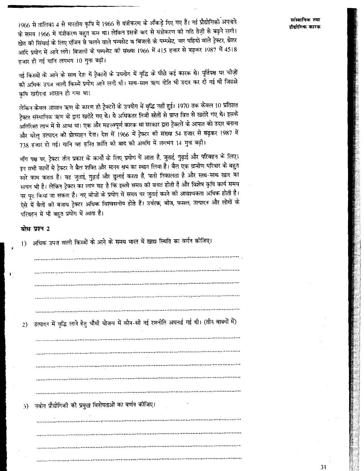1966 से तालिका 4 से भारतीय कृषि में 1966 से यंत्रीकरण के आँकड़े दिए गए हैं। नई प्रौद्योगिकी अपनाने के समय 1966 में यंत्रीकरण बहुत कम था। लेकिन इसके बाद से यंत्रीकरण की गति तेज़ी से बढ़ने लगी। खेत की सिंचाई के लिए एंजिन से चलने वाले पम्पसेट व बिजली के पम्पसेट, चार पहियों वाले ट्रेक्टर, थ्रेशर आदि प्रयोग में आने लगे। बिजली के पम्पसेट की संख्या 1966 में 415 हजार से बढ़कर 1987 में 4518 हजार हो गई यानि लगभग 10 गुना बढ़ी।

नई किस्मों के आने के साथ देश में ट्रेक्टरों के उपयोग में वृद्धि के पीछे कई कारक थे। पूर्तिपक्ष पर चीज़ों की अधिक उपज वाली किस्में प्रयोग आने लगी थी। साथ-साथ ऋण नीति भी उदार कर दी गई थी जिससे कषि खरीदना आसान हो गया था।

लेकिन केवल आसान ऋण के कारण ही ट्रेक्टरों के उपयोग में वृद्धि नहीं हुई। 1970 तक केवल 10 प्रतिशत ट्रेक्टर संस्थानिक ऋण के द्वारा खरीदे गए थे। ये अधिकतर निजी स्रोतों से प्राप्त वित्त से खरीदे गए थे। इसके अतिरिक्त लाभ में से आया था। एक और महत्त्वपूर्ण कारक था सरकार द्वारा ट्रेक्टरों के आपात को उदार बनाना और घरेलू उत्पादन को प्रोत्साहन देना। देश में 1966 में ट्रेक्टर की संख्या 54 हजार से बढ़कर 1987 में 738 हजार हो गई। यानि यह हरित क्रांति की बाद की अवधि में लगभग 14 गुना बढ़ी।

माँग पक्ष पर, ट्रेक्टर तीन प्रकार के कार्यों के लिए प्रयोग में आता है, जुताई, गुढ़ाई और परिवहन के लिए। इन सभी कार्यों में ट्रेक्टर ने बैल शक्ति और मानय श्रम का स्थान लिया है। बैल एक ग्रामीण परिवार के बहुत सारे काम करता है। यह जुताई, गुढ़ाई और ढुलाई करता है, पानी निकालता है और साथ-साथ खाद का साधन भी है। लेकिन ट्रेक्टर का लाभ यह है कि इससे समय की बचत होती है और विशेष कृषि कार्य समय पर पूरा किया जा सकता है। नए बीजों के प्रयोग में समय पर जुताई करने की आवश्यकता अधिक होती है। ऐसे में बैलों की बजाय ट्रेक्टर अधिक विश्वसनीय होते हैं। उर्वरक, बीज, फसल, उत्पादन और लोगों के परिवहन में भी बहुत प्रयोग में आता है।

## बोध प्रश्न 2

1) अधिक उपज वाली किस्मों के आने के समय भारत में खाद्य स्थिति का वर्णन कीजिए। उत्पादन में वृद्धि लाने हेतु चौथी योजना में कौन-सी नई रणनीति अपनाई गई थी। (तीन वाक्यों में) 2) 3) नवीन प्रौद्योगिकी की प्रमुख विशेषताओं का वर्णन कोजिए।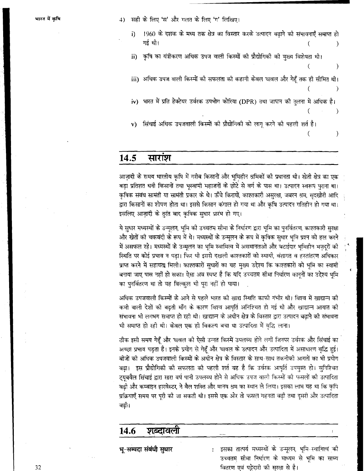सही के लिए 'स' और गलत के लिए 'ग' लिखिए।  $\Delta$ 

1960 के दशक के मध्य तक क्षेत्र का विस्तार करके उत्पादन बढाने की संभावनाएँ समाप्त हो i) गई थी।  $\lambda$ 

कृषि का यंत्रीकरण अधिक उपज वाली किस्मों की प्रौद्योगिकी की मुख्य विशेषता थी। ii)

iii) अधिक उपज वाली किस्मों की सफलता की कहानी केवल चावल और गेहूँ तक ही सीमित थी।

 $\lambda$ 

 $\lambda$ 

iv) भारत में प्रति हेक्टेयर उर्वरक उपभोग कोरिया (DPR) तथा जापान की तुलना में अधिक है।  $\lambda$ 

ासिंचाई अधिक उपजवाली किस्मों को प्रौद्योगिकी को लागू करने की पहली शर्त है।  $\mathbf{v}$  $\epsilon$ 

### 14.5 सारांश

आजादी के समय भारतीय कृषि में गरीब किसानों और भूमिहीन श्रमिकों की प्रधानता थी। खेती क्षेत्र का एक बड़ा प्रतिशत धनी किसानों तथा भूस्वामी महाजनों के छोटे से वर्ग के पास था। उत्पादन स्वरूप पुराना था। कषिक संबंध सामंती या सामंती प्रकार के थे। ऊँचे किरायों, काश्तकारी असरक्षा, जबरन श्रम, सदखोरी आदि द्वारा किसानों का शोषण होता था। इससे किसान कंगाल हो गया था और कृषि उत्पादन गतिहीन हो गया था। इसलिए आज़ादी के तुरंत बाद कृषिक सुधार प्रारंभ हो गए।

ये सुधार मध्यस्थों के उन्मूलन, भूमि को उच्चतम सीमा के निर्धारण द्वारा भूमि का पुनर्वितरण, काश्तकारी सुरक्षा और खेतों की चकबंदी के रूप में थे। मध्यस्थों के उन्मूलन के रूप में कृषिक सुधार भूमि प्रश्न को हल करने में असफल रहे। मध्यस्थों के उन्मूलन का भूमि स्वामित्व में असमानताओं और बटाईदार भूमिहीन मज़दूरों की स्थिति पर कोई प्रभाव न पडा। फिर भी इससे दखली काश्तकारों को स्थायी, वंशागत व हस्तांतरण अधिकार प्राप्त करने में सहायता मिली। काश्तकारों सुधारों का यह मुख्य उद्देश्य कि काश्तकारों को भूमि का स्वामी बनाया जाए पास नहीं हो सका। ऐसा अब स्पष्ट है कि यदि उच्चतम सीमा निर्धारण कानूनों का उद्देश्य भूमि का पुनर्वितरण था तो यह बिल्कुल भी पूरा नहीं हो पाया।

अधिक उपजवाली किस्मों के आने से पहले भारत की खाद्य स्थिति काफी गंभीर थी। विश्व में खाद्यान्न की कमी वाली देशों की बढ़ती माँग के कारण विश्व आपूर्ति अनिश्चित हो गई थी और खाद्यान्न आयात की संभावना भी लगभग समाप्त हो रही थी। खाद्यान्न के अधीन क्षेत्र के विस्तार द्वारा उत्पादन बढ़ाने की संभावना भी समाप्त हो रही थी। केवल एक ही विकल्प बचा था उत्पादिता में वृद्धि लाना।

ठीक इसी समय गेहूँ और चावल को ऐसी उन्नत किस्में उपलब्ध होने लगीं जिनपर उर्वरक और सिंचाई का अच्छा प्रभाव पड़ता है। इनके प्रयोग से गेहूँ और चावल के उत्पादन और उत्पादिता में असाधारण वृद्धि हुई। बीजों को अधिक उपजवाली किस्मों के अधीन क्षेत्र के विस्तार के साथ-साथ तकनीकी आगतों का भी प्रयोग बढा। इस प्रौद्योगिको को सफलता को पहली शर्त यह है कि उर्वरक आपूर्ति उपयुक्त हो। सुनिश्चित ट्यूबवैल सिंचाई द्वारा सारा वर्ष पानी उपलब्ध होने से अधिक उपज वालो किस्मों को फसलों की उत्पादिता वढी और कम्बाइन हारवेस्टर, ने बैल शक्ति और मानव श्रम का स्थान ले लिया। इसका लाभ यह था कि कृषि प्रक्रियाएँ समय पर पूरी की जा सकती थी। इससे एक ओर तो फसल गहनता बढ़ी तथा दुसरी और उत्पादिता नढी।

## शब्दावली 14.6

भू-सम्पदा संबंधी सुधार

इसका तात्पर्य मध्यस्थों के उन्मूलन, भूमि-स्वामित्व को उच्चतम सीमा निर्धारण के माध्यम से भूमि का साम्य वितरण एवं पट्टेदारी की सुरक्षा से है।